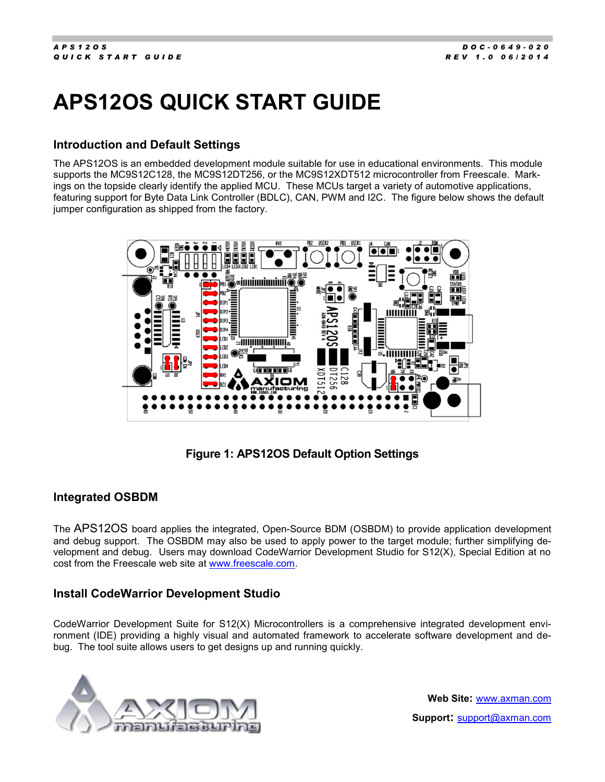# **APS12OS QUICK START GUIDE**

## **Introduction and Default Settings**

The APS12OS is an embedded development module suitable for use in educational environments. This module supports the MC9S12C128, the MC9S12DT256, or the MC9S12XDT512 microcontroller from Freescale. Markings on the topside clearly identify the applied MCU. These MCUs target a variety of automotive applications, featuring support for Byte Data Link Controller (BDLC), CAN, PWM and I2C. The figure below shows the default jumper configuration as shipped from the factory.



**Figure 1: APS12OS Default Option Settings**

## **Integrated OSBDM**

The APS12OS board applies the integrated, Open-Source BDM (OSBDM) to provide application development and debug support. The OSBDM may also be used to apply power to the target module; further simplifying development and debug. Users may download CodeWarrior Development Studio for S12(X), Special Edition at no cost from the Freescale web site at [www.freescale.com.](http://www.freescale.com/)

## **Install CodeWarrior Development Studio**

CodeWarrior Development Suite for S12(X) Microcontrollers is a comprehensive integrated development environment (IDE) providing a highly visual and automated framework to accelerate software development and debug. The tool suite allows users to get designs up and running quickly.



**Web Site:** www.axman.com **Support:** support@axman.com